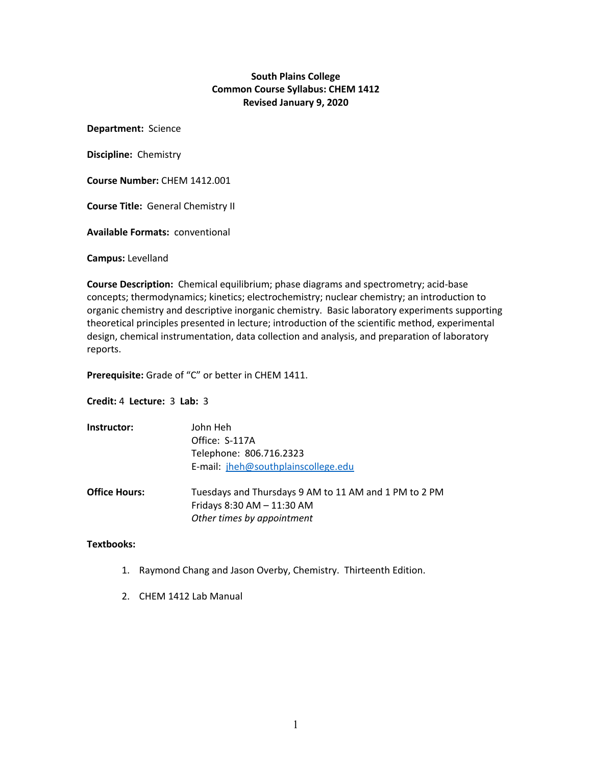# **South Plains College Common Course Syllabus: CHEM 1412 Revised January 9, 2020**

**Department:** Science

**Discipline:** Chemistry

**Course Number:** CHEM 1412.001

**Course Title:** General Chemistry II

**Available Formats:** conventional

**Campus:** Levelland

**Course Description:** Chemical equilibrium; phase diagrams and spectrometry; acid-base concepts; thermodynamics; kinetics; electrochemistry; nuclear chemistry; an introduction to organic chemistry and descriptive inorganic chemistry. Basic laboratory experiments supporting theoretical principles presented in lecture; introduction of the scientific method, experimental design, chemical instrumentation, data collection and analysis, and preparation of laboratory reports.

**Prerequisite:** Grade of "C" or better in CHEM 1411.

**Credit:** 4 **Lecture:** 3 **Lab:** 3

| Instructor:          | John Heh<br>Office: S-117A                            |  |  |  |
|----------------------|-------------------------------------------------------|--|--|--|
|                      |                                                       |  |  |  |
|                      | Telephone: 806.716.2323                               |  |  |  |
|                      | E-mail: jheh@southplainscollege.edu                   |  |  |  |
|                      |                                                       |  |  |  |
| <b>Office Hours:</b> | Tuesdays and Thursdays 9 AM to 11 AM and 1 PM to 2 PM |  |  |  |
|                      | Fridays 8:30 AM - 11:30 AM                            |  |  |  |
|                      | Other times by appointment                            |  |  |  |

#### **Textbooks:**

- 1. Raymond Chang and Jason Overby, Chemistry. Thirteenth Edition.
- 2. CHEM 1412 Lab Manual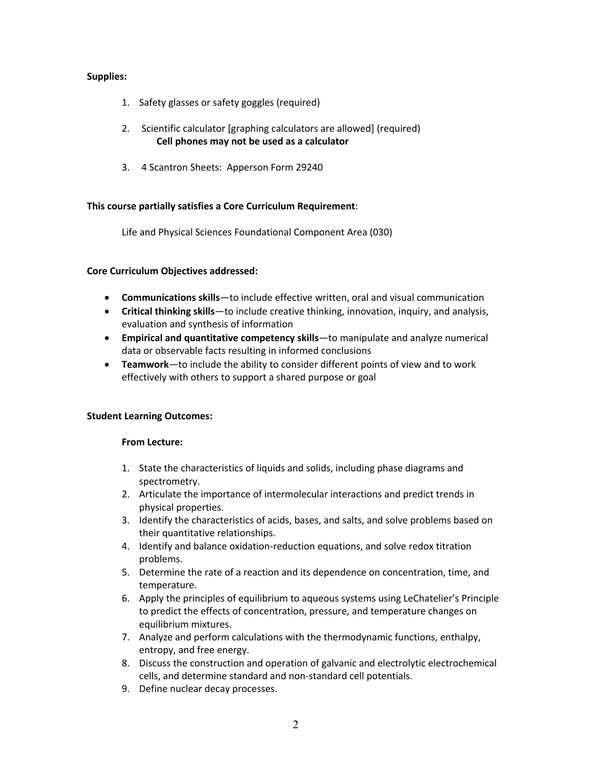# **Supplies:**

- 1. Safety glasses or safety goggles (required)
- 2. Scientific calculator [graphing calculators are allowed] (required) **Cell phones may not be used as a calculator**
- 3. 4 Scantron Sheets: Apperson Form 29240

## **This course partially satisfies a Core Curriculum Requirement**:

Life and Physical Sciences Foundational Component Area (030)

## **Core Curriculum Objectives addressed:**

- **Communications skills**—to include effective written, oral and visual communication
- **Critical thinking skills**—to include creative thinking, innovation, inquiry, and analysis, evaluation and synthesis of information
- **Empirical and quantitative competency skills**—to manipulate and analyze numerical data or observable facts resulting in informed conclusions
- **Teamwork**—to include the ability to consider different points of view and to work effectively with others to support a shared purpose or goal

## **Student Learning Outcomes:**

## **From Lecture:**

- 1. State the characteristics of liquids and solids, including phase diagrams and spectrometry.
- 2. Articulate the importance of intermolecular interactions and predict trends in physical properties.
- 3. Identify the characteristics of acids, bases, and salts, and solve problems based on their quantitative relationships.
- 4. Identify and balance oxidation-reduction equations, and solve redox titration problems.
- 5. Determine the rate of a reaction and its dependence on concentration, time, and temperature.
- 6. Apply the principles of equilibrium to aqueous systems using LeChatelier's Principle to predict the effects of concentration, pressure, and temperature changes on equilibrium mixtures.
- 7. Analyze and perform calculations with the thermodynamic functions, enthalpy, entropy, and free energy.
- 8. Discuss the construction and operation of galvanic and electrolytic electrochemical cells, and determine standard and non-standard cell potentials.
- 9. Define nuclear decay processes.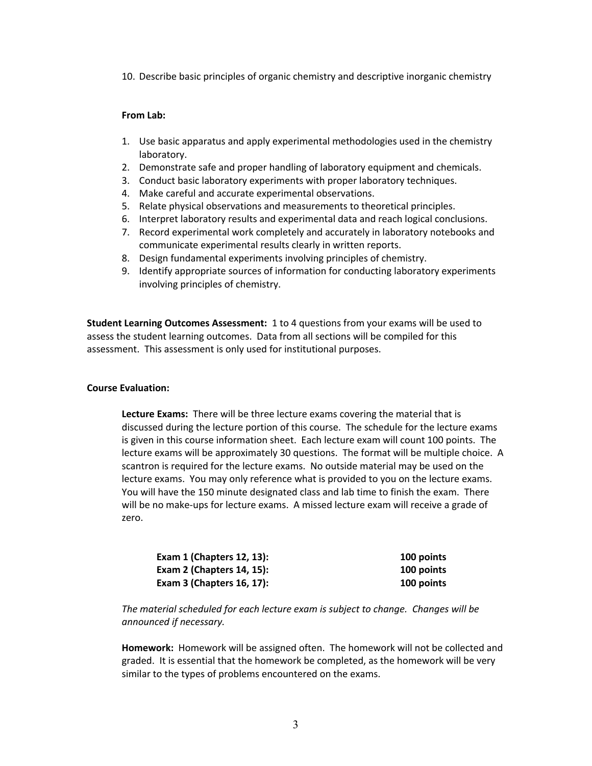10. Describe basic principles of organic chemistry and descriptive inorganic chemistry

#### **From Lab:**

- 1. Use basic apparatus and apply experimental methodologies used in the chemistry laboratory.
- 2. Demonstrate safe and proper handling of laboratory equipment and chemicals.
- 3. Conduct basic laboratory experiments with proper laboratory techniques.
- 4. Make careful and accurate experimental observations.
- 5. Relate physical observations and measurements to theoretical principles.
- 6. Interpret laboratory results and experimental data and reach logical conclusions.
- 7. Record experimental work completely and accurately in laboratory notebooks and communicate experimental results clearly in written reports.
- 8. Design fundamental experiments involving principles of chemistry.
- 9. Identify appropriate sources of information for conducting laboratory experiments involving principles of chemistry.

**Student Learning Outcomes Assessment:** 1 to 4 questions from your exams will be used to assess the student learning outcomes. Data from all sections will be compiled for this assessment. This assessment is only used for institutional purposes.

## **Course Evaluation:**

**Lecture Exams:** There will be three lecture exams covering the material that is discussed during the lecture portion of this course. The schedule for the lecture exams is given in this course information sheet. Each lecture exam will count 100 points. The lecture exams will be approximately 30 questions. The format will be multiple choice. A scantron is required for the lecture exams. No outside material may be used on the lecture exams. You may only reference what is provided to you on the lecture exams. You will have the 150 minute designated class and lab time to finish the exam. There will be no make-ups for lecture exams. A missed lecture exam will receive a grade of zero.

| <b>Exam 1 (Chapters 12, 13):</b> | 100 points |
|----------------------------------|------------|
| <b>Exam 2 (Chapters 14, 15):</b> | 100 points |
| Exam $3$ (Chapters 16, 17):      | 100 points |

*The material scheduled for each lecture exam is subject to change. Changes will be announced if necessary.*

**Homework:** Homework will be assigned often. The homework will not be collected and graded. It is essential that the homework be completed, as the homework will be very similar to the types of problems encountered on the exams.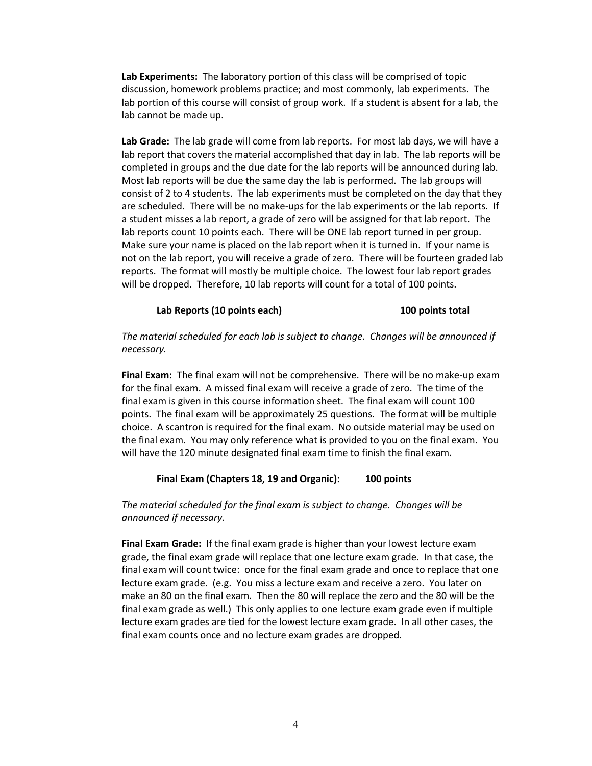**Lab Experiments:** The laboratory portion of this class will be comprised of topic discussion, homework problems practice; and most commonly, lab experiments. The lab portion of this course will consist of group work. If a student is absent for a lab, the lab cannot be made up.

**Lab Grade:** The lab grade will come from lab reports. For most lab days, we will have a lab report that covers the material accomplished that day in lab. The lab reports will be completed in groups and the due date for the lab reports will be announced during lab. Most lab reports will be due the same day the lab is performed. The lab groups will consist of 2 to 4 students. The lab experiments must be completed on the day that they are scheduled. There will be no make-ups for the lab experiments or the lab reports. If a student misses a lab report, a grade of zero will be assigned for that lab report. The lab reports count 10 points each. There will be ONE lab report turned in per group. Make sure your name is placed on the lab report when it is turned in. If your name is not on the lab report, you will receive a grade of zero. There will be fourteen graded lab reports. The format will mostly be multiple choice. The lowest four lab report grades will be dropped. Therefore, 10 lab reports will count for a total of 100 points.

#### **Lab Reports (10 points each) 100 points total**

*The material scheduled for each lab is subject to change. Changes will be announced if necessary.*

**Final Exam:** The final exam will not be comprehensive. There will be no make-up exam for the final exam. A missed final exam will receive a grade of zero. The time of the final exam is given in this course information sheet. The final exam will count 100 points. The final exam will be approximately 25 questions. The format will be multiple choice. A scantron is required for the final exam. No outside material may be used on the final exam. You may only reference what is provided to you on the final exam. You will have the 120 minute designated final exam time to finish the final exam.

#### **Final Exam (Chapters 18, 19 and Organic): 100 points**

*The material scheduled for the final exam is subject to change. Changes will be announced if necessary.*

**Final Exam Grade:** If the final exam grade is higher than your lowest lecture exam grade, the final exam grade will replace that one lecture exam grade. In that case, the final exam will count twice: once for the final exam grade and once to replace that one lecture exam grade. (e.g. You miss a lecture exam and receive a zero. You later on make an 80 on the final exam. Then the 80 will replace the zero and the 80 will be the final exam grade as well.) This only applies to one lecture exam grade even if multiple lecture exam grades are tied for the lowest lecture exam grade. In all other cases, the final exam counts once and no lecture exam grades are dropped.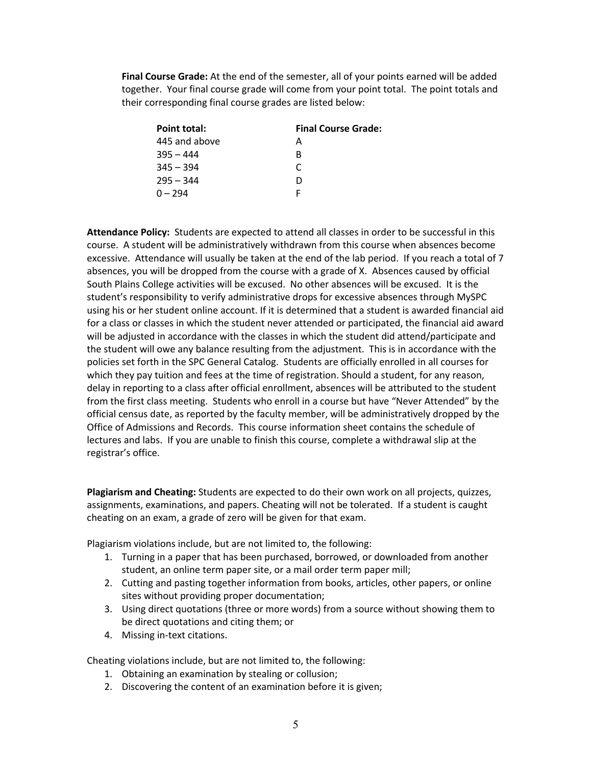**Final Course Grade:** At the end of the semester, all of your points earned will be added together. Your final course grade will come from your point total. The point totals and their corresponding final course grades are listed below:

| Point total:  | <b>Final Course Grade:</b> |  |  |
|---------------|----------------------------|--|--|
| 445 and above | A                          |  |  |
| $395 - 444$   | R                          |  |  |
| $345 - 394$   | C                          |  |  |
| $295 - 344$   | D                          |  |  |
| $0 - 294$     |                            |  |  |

**Attendance Policy:** Students are expected to attend all classes in order to be successful in this course. A student will be administratively withdrawn from this course when absences become excessive. Attendance will usually be taken at the end of the lab period. If you reach a total of 7 absences, you will be dropped from the course with a grade of X. Absences caused by official South Plains College activities will be excused. No other absences will be excused. It is the student's responsibility to verify administrative drops for excessive absences through MySPC using his or her student online account. If it is determined that a student is awarded financial aid for a class or classes in which the student never attended or participated, the financial aid award will be adjusted in accordance with the classes in which the student did attend/participate and the student will owe any balance resulting from the adjustment. This is in accordance with the policies set forth in the SPC General Catalog. Students are officially enrolled in all courses for which they pay tuition and fees at the time of registration. Should a student, for any reason, delay in reporting to a class after official enrollment, absences will be attributed to the student from the first class meeting. Students who enroll in a course but have "Never Attended" by the official census date, as reported by the faculty member, will be administratively dropped by the Office of Admissions and Records. This course information sheet contains the schedule of lectures and labs. If you are unable to finish this course, complete a withdrawal slip at the registrar's office.

**Plagiarism and Cheating:** Students are expected to do their own work on all projects, quizzes, assignments, examinations, and papers. Cheating will not be tolerated. If a student is caught cheating on an exam, a grade of zero will be given for that exam.

Plagiarism violations include, but are not limited to, the following:

- 1. Turning in a paper that has been purchased, borrowed, or downloaded from another student, an online term paper site, or a mail order term paper mill;
- 2. Cutting and pasting together information from books, articles, other papers, or online sites without providing proper documentation;
- 3. Using direct quotations (three or more words) from a source without showing them to be direct quotations and citing them; or
- 4. Missing in-text citations.

Cheating violations include, but are not limited to, the following:

- 1. Obtaining an examination by stealing or collusion;
- 2. Discovering the content of an examination before it is given;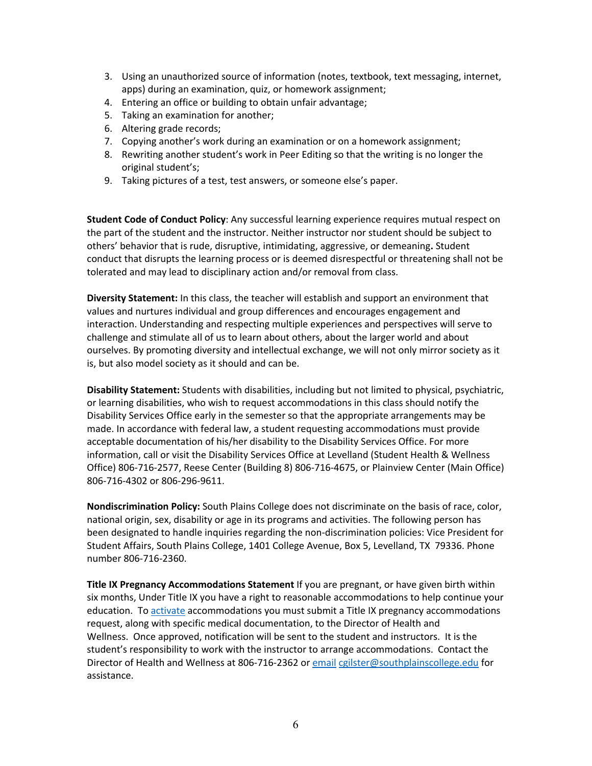- 3. Using an unauthorized source of information (notes, textbook, text messaging, internet, apps) during an examination, quiz, or homework assignment;
- 4. Entering an office or building to obtain unfair advantage;
- 5. Taking an examination for another;
- 6. Altering grade records;
- 7. Copying another's work during an examination or on a homework assignment;
- 8. Rewriting another student's work in Peer Editing so that the writing is no longer the original student's;
- 9. Taking pictures of a test, test answers, or someone else's paper.

**Student Code of Conduct Policy**: Any successful learning experience requires mutual respect on the part of the student and the instructor. Neither instructor nor student should be subject to others' behavior that is rude, disruptive, intimidating, aggressive, or demeaning**.** Student conduct that disrupts the learning process or is deemed disrespectful or threatening shall not be tolerated and may lead to disciplinary action and/or removal from class.

**Diversity Statement:** In this class, the teacher will establish and support an environment that values and nurtures individual and group differences and encourages engagement and interaction. Understanding and respecting multiple experiences and perspectives will serve to challenge and stimulate all of us to learn about others, about the larger world and about ourselves. By promoting diversity and intellectual exchange, we will not only mirror society as it is, but also model society as it should and can be.

**Disability Statement:** Students with disabilities, including but not limited to physical, psychiatric, or learning disabilities, who wish to request accommodations in this class should notify the Disability Services Office early in the semester so that the appropriate arrangements may be made. In accordance with federal law, a student requesting accommodations must provide acceptable documentation of his/her disability to the Disability Services Office. For more information, call or visit the Disability Services Office at Levelland (Student Health & Wellness Office) 806-716-2577, Reese Center (Building 8) 806-716-4675, or Plainview Center (Main Office) 806-716-4302 or 806-296-9611.

**Nondiscrimination Policy:** South Plains College does not discriminate on the basis of race, color, national origin, sex, disability or age in its programs and activities. The following person has been designated to handle inquiries regarding the non-discrimination policies: Vice President for Student Affairs, South Plains College, 1401 College Avenue, Box 5, Levelland, TX 79336. Phone number 806-716-2360.

**Title IX Pregnancy Accommodations Statement** If you are pregnant, or have given birth within six months, Under Title IX you have a right to reasonable accommodations to help continue your education. To activate accommodations you must submit a Title IX pregnancy accommodations request, along with specific medical documentation, to the Director of Health and Wellness. Once approved, notification will be sent to the student and instructors. It is the student's responsibility to work with the instructor to arrange accommodations. Contact the Director of Health and Wellness at 806-716-2362 or email cgilster@southplainscollege.edu for assistance.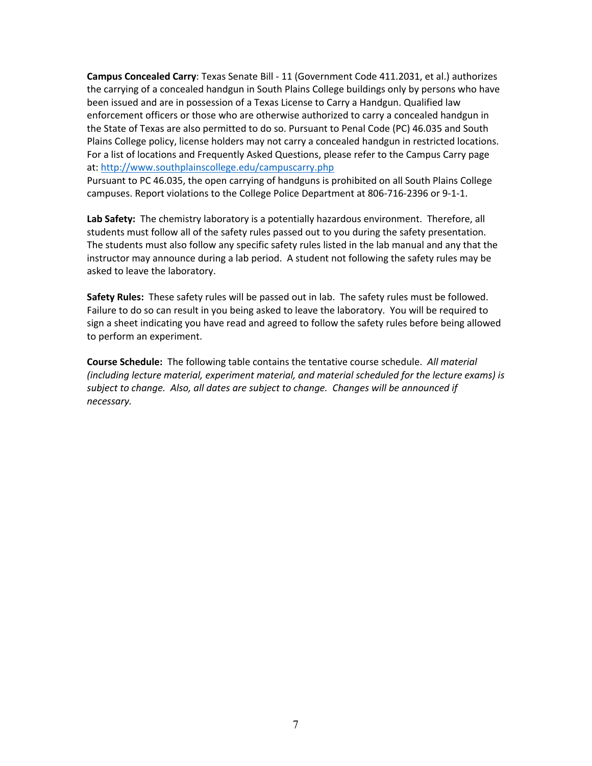**Campus Concealed Carry**: Texas Senate Bill - 11 (Government Code 411.2031, et al.) authorizes the carrying of a concealed handgun in South Plains College buildings only by persons who have been issued and are in possession of a Texas License to Carry a Handgun. Qualified law enforcement officers or those who are otherwise authorized to carry a concealed handgun in the State of Texas are also permitted to do so. Pursuant to Penal Code (PC) 46.035 and South Plains College policy, license holders may not carry a concealed handgun in restricted locations. For a list of locations and Frequently Asked Questions, please refer to the Campus Carry page at: http://www.southplainscollege.edu/campuscarry.php

Pursuant to PC 46.035, the open carrying of handguns is prohibited on all South Plains College campuses. Report violations to the College Police Department at 806-716-2396 or 9-1-1.

Lab Safety: The chemistry laboratory is a potentially hazardous environment. Therefore, all students must follow all of the safety rules passed out to you during the safety presentation. The students must also follow any specific safety rules listed in the lab manual and any that the instructor may announce during a lab period. A student not following the safety rules may be asked to leave the laboratory.

**Safety Rules:** These safety rules will be passed out in lab. The safety rules must be followed. Failure to do so can result in you being asked to leave the laboratory. You will be required to sign a sheet indicating you have read and agreed to follow the safety rules before being allowed to perform an experiment.

**Course Schedule:** The following table contains the tentative course schedule. *All material (including lecture material, experiment material, and material scheduled for the lecture exams) is subject to change. Also, all dates are subject to change. Changes will be announced if necessary.*